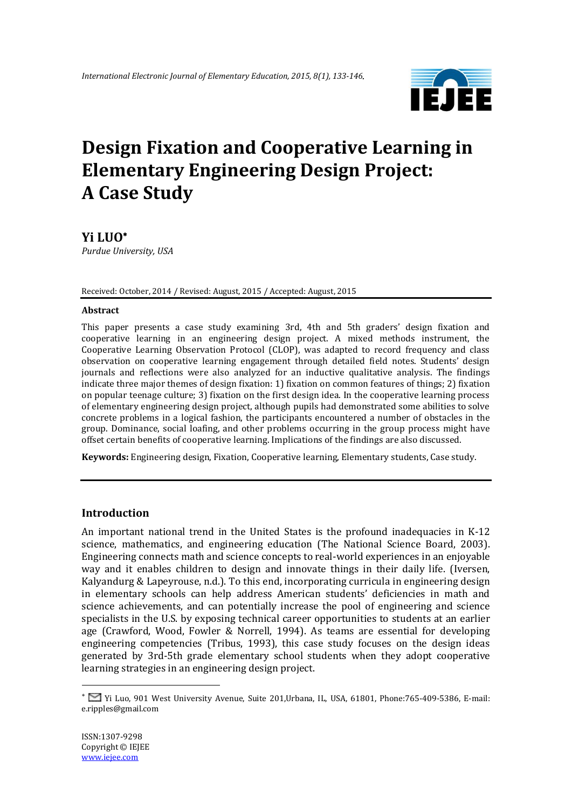

# **Design Fixation and Cooperative Learning in Elementary Engineering Design Project: A Case Study**

# **Yi LUO**

*Purdue University, USA*

Received: October, 2014 / Revised: August, 2015 / Accepted: August, 2015

#### **Abstract**

This paper presents a case study examining 3rd, 4th and 5th graders' design fixation and cooperative learning in an engineering design project. A mixed methods instrument, the Cooperative Learning Observation Protocol (CLOP), was adapted to record frequency and class observation on cooperative learning engagement through detailed field notes. Students' design journals and reflections were also analyzed for an inductive qualitative analysis. The findings indicate three major themes of design fixation: 1) fixation on common features of things; 2) fixation on popular teenage culture; 3) fixation on the first design idea. In the cooperative learning process of elementary engineering design project, although pupils had demonstrated some abilities to solve concrete problems in a logical fashion, the participants encountered a number of obstacles in the group. Dominance, social loafing, and other problems occurring in the group process might have offset certain benefits of cooperative learning. Implications of the findings are also discussed.

**Keywords:** Engineering design, Fixation, Cooperative learning, Elementary students, Case study.

# **Introduction**

An important national trend in the United States is the profound inadequacies in K-12 science, mathematics, and engineering education (The National Science Board, 2003). Engineering connects math and science concepts to real-world experiences in an enjoyable way and it enables children to design and innovate things in their daily life. (Iversen, Kalyandurg & Lapeyrouse, n.d.). To this end, incorporating curricula in engineering design in elementary schools can help address American students' deficiencies in math and science achievements, and can potentially increase the pool of engineering and science specialists in the U.S. by exposing technical career opportunities to students at an earlier age (Crawford, Wood, Fowler & Norrell, 1994). As teams are essential for developing engineering competencies (Tribus, 1993), this case study focuses on the design ideas generated by 3rd-5th grade elementary school students when they adopt cooperative learning strategies in an engineering design project.

<u>.</u>

Yi Luo, 901 West University Avenue, Suite 201,Urbana, IL, USA, 61801, Phone:765-409-5386, E-mail: e.ripples@gmail.com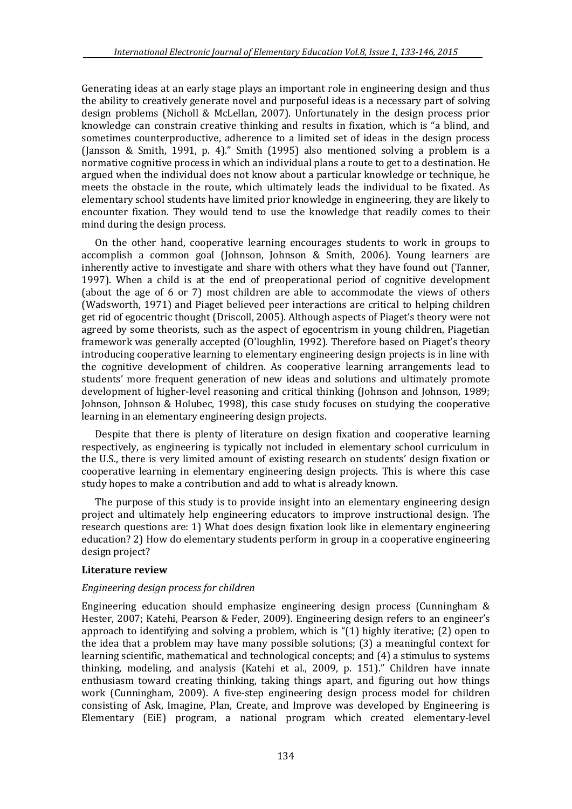Generating ideas at an early stage plays an important role in engineering design and thus the ability to creatively generate novel and purposeful ideas is a necessary part of solving design problems (Nicholl & McLellan, 2007). Unfortunately in the design process prior knowledge can constrain creative thinking and results in fixation, which is "a blind, and sometimes counterproductive, adherence to a limited set of ideas in the design process (Jansson & Smith, 1991, p. 4)." Smith (1995) also mentioned solving a problem is a normative cognitive process in which an individual plans a route to get to a destination. He argued when the individual does not know about a particular knowledge or technique, he meets the obstacle in the route, which ultimately leads the individual to be fixated. As elementary school students have limited prior knowledge in engineering, they are likely to encounter fixation. They would tend to use the knowledge that readily comes to their mind during the design process.

On the other hand, cooperative learning encourages students to work in groups to accomplish a common goal (Johnson, Johnson & Smith, 2006). Young learners are inherently active to investigate and share with others what they have found out (Tanner, 1997). When a child is at the end of preoperational period of cognitive development (about the age of 6 or 7) most children are able to accommodate the views of others (Wadsworth, 1971) and Piaget believed peer interactions are critical to helping children get rid of egocentric thought (Driscoll, 2005). Although aspects of Piaget's theory were not agreed by some theorists, such as the aspect of egocentrism in young children, Piagetian framework was generally accepted (O'loughlin, 1992). Therefore based on Piaget's theory introducing cooperative learning to elementary engineering design projects is in line with the cognitive development of children. As cooperative learning arrangements lead to students' more frequent generation of new ideas and solutions and ultimately promote development of higher-level reasoning and critical thinking (Johnson and Johnson, 1989; Johnson, Johnson & Holubec, 1998), this case study focuses on studying the cooperative learning in an elementary engineering design projects.

Despite that there is plenty of literature on design fixation and cooperative learning respectively, as engineering is typically not included in elementary school curriculum in the U.S., there is very limited amount of existing research on students' design fixation or cooperative learning in elementary engineering design projects. This is where this case study hopes to make a contribution and add to what is already known.

The purpose of this study is to provide insight into an elementary engineering design project and ultimately help engineering educators to improve instructional design. The research questions are: 1) What does design fixation look like in elementary engineering education? 2) How do elementary students perform in group in a cooperative engineering design project?

#### **Literature review**

#### *Engineering design process for children*

Engineering education should emphasize engineering design process (Cunningham & Hester, 2007; Katehi, Pearson & Feder, 2009). Engineering design refers to an engineer's approach to identifying and solving a problem, which is "(1) highly iterative; (2) open to the idea that a problem may have many possible solutions; (3) a meaningful context for learning scientific, mathematical and technological concepts; and (4) a stimulus to systems thinking, modeling, and analysis (Katehi et al., 2009, p. 151)." Children have innate enthusiasm toward creating thinking, taking things apart, and figuring out how things work (Cunningham, 2009). A five-step engineering design process model for children consisting of Ask, Imagine, Plan, Create, and Improve was developed by Engineering is Elementary (EiE) program, a national program which created elementary-level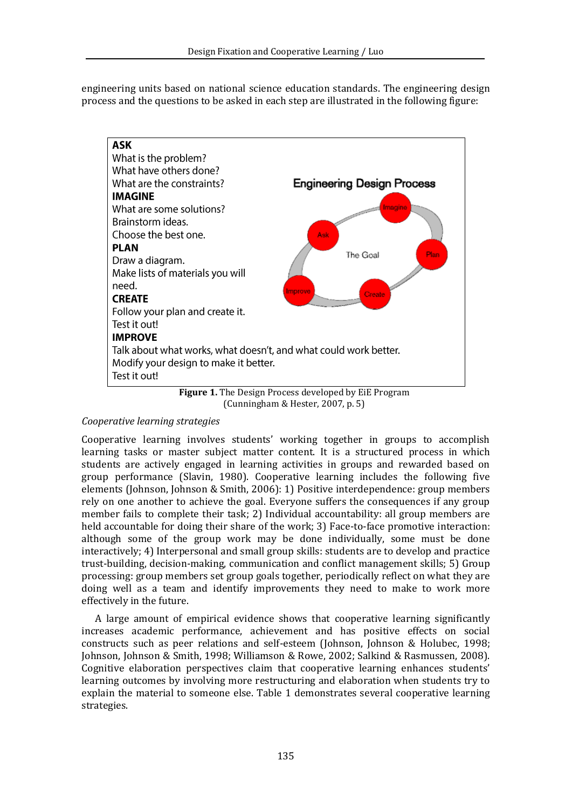engineering units based on national science education standards. The engineering design process and the questions to be asked in each step are illustrated in the following figure:



**Figure 1.** The Design Process developed by EiE Program (Cunningham & Hester, 2007, p. 5)

# *Cooperative learning strategies*

Cooperative learning involves students' working together in groups to accomplish learning tasks or master subject matter content. It is a structured process in which students are actively engaged in learning activities in groups and rewarded based on group performance (Slavin, 1980). Cooperative learning includes the following five elements (Johnson, Johnson & Smith, 2006): 1) Positive interdependence: group members rely on one another to achieve the goal. Everyone suffers the consequences if any group member fails to complete their task; 2) Individual accountability: all group members are held accountable for doing their share of the work; 3) Face-to-face promotive interaction: although some of the group work may be done individually, some must be done interactively; 4) Interpersonal and small group skills: students are to develop and practice trust-building, decision-making, communication and conflict management skills; 5) Group processing: group members set group goals together, periodically reflect on what they are doing well as a team and identify improvements they need to make to work more effectively in the future.

A large amount of empirical evidence shows that cooperative learning significantly increases academic performance, achievement and has positive effects on social constructs such as peer relations and self-esteem (Johnson, Johnson & Holubec, 1998; Johnson, Johnson & Smith, 1998; Williamson & Rowe, 2002; Salkind & Rasmussen, 2008). Cognitive elaboration perspectives claim that cooperative learning enhances students' learning outcomes by involving more restructuring and elaboration when students try to explain the material to someone else. Table 1 demonstrates several cooperative learning strategies.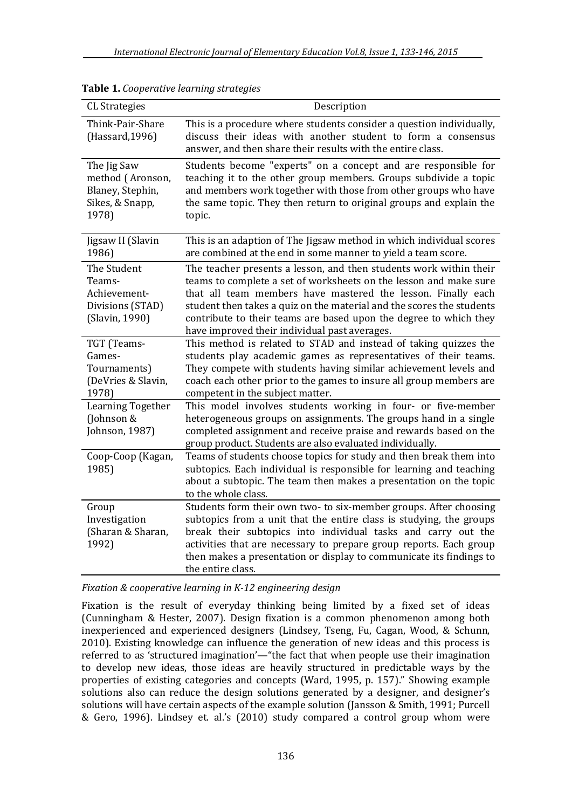| <b>CL Strategies</b>                                                            | Description                                                                                                                                                                                                                                                                                                                                                                                            |
|---------------------------------------------------------------------------------|--------------------------------------------------------------------------------------------------------------------------------------------------------------------------------------------------------------------------------------------------------------------------------------------------------------------------------------------------------------------------------------------------------|
|                                                                                 |                                                                                                                                                                                                                                                                                                                                                                                                        |
| Think-Pair-Share<br>(Hassard, 1996)                                             | This is a procedure where students consider a question individually,<br>discuss their ideas with another student to form a consensus<br>answer, and then share their results with the entire class.                                                                                                                                                                                                    |
| The Jig Saw<br>method (Aronson,<br>Blaney, Stephin,<br>Sikes, & Snapp,<br>1978) | Students become "experts" on a concept and are responsible for<br>teaching it to the other group members. Groups subdivide a topic<br>and members work together with those from other groups who have<br>the same topic. They then return to original groups and explain the<br>topic.                                                                                                                 |
| Jigsaw II (Slavin<br>1986)                                                      | This is an adaption of The Jigsaw method in which individual scores<br>are combined at the end in some manner to yield a team score.                                                                                                                                                                                                                                                                   |
| The Student<br>Teams-<br>Achievement-<br>Divisions (STAD)<br>(Slavin, 1990)     | The teacher presents a lesson, and then students work within their<br>teams to complete a set of worksheets on the lesson and make sure<br>that all team members have mastered the lesson. Finally each<br>student then takes a quiz on the material and the scores the students<br>contribute to their teams are based upon the degree to which they<br>have improved their individual past averages. |
| TGT (Teams-<br>Games-<br>Tournaments)<br>(DeVries & Slavin,<br>1978)            | This method is related to STAD and instead of taking quizzes the<br>students play academic games as representatives of their teams.<br>They compete with students having similar achievement levels and<br>coach each other prior to the games to insure all group members are<br>competent in the subject matter.                                                                                     |
| Learning Together<br>(Johnson &<br>Johnson, 1987)                               | This model involves students working in four- or five-member<br>heterogeneous groups on assignments. The groups hand in a single<br>completed assignment and receive praise and rewards based on the<br>group product. Students are also evaluated individually.                                                                                                                                       |
| Coop-Coop (Kagan,<br>1985)                                                      | Teams of students choose topics for study and then break them into<br>subtopics. Each individual is responsible for learning and teaching<br>about a subtopic. The team then makes a presentation on the topic<br>to the whole class.                                                                                                                                                                  |
| Group<br>Investigation<br>(Sharan & Sharan,<br>1992)                            | Students form their own two- to six-member groups. After choosing<br>subtopics from a unit that the entire class is studying, the groups<br>break their subtopics into individual tasks and carry out the<br>activities that are necessary to prepare group reports. Each group<br>then makes a presentation or display to communicate its findings to<br>the entire class.                            |

# **Table 1.** *Cooperative learning strategies*

*Fixation & cooperative learning in K-12 engineering design*

Fixation is the result of everyday thinking being limited by a fixed set of ideas (Cunningham & Hester, 2007). Design fixation is a common phenomenon among both inexperienced and experienced designers (Lindsey, Tseng, Fu, Cagan, Wood, & Schunn, 2010). Existing knowledge can influence the generation of new ideas and this process is referred to as 'structured imagination'—"the fact that when people use their imagination to develop new ideas, those ideas are heavily structured in predictable ways by the properties of existing categories and concepts (Ward, 1995, p. 157)." Showing example solutions also can reduce the design solutions generated by a designer, and designer's solutions will have certain aspects of the example solution (Jansson & Smith, 1991; Purcell & Gero, 1996). Lindsey et. al.'s (2010) study compared a control group whom were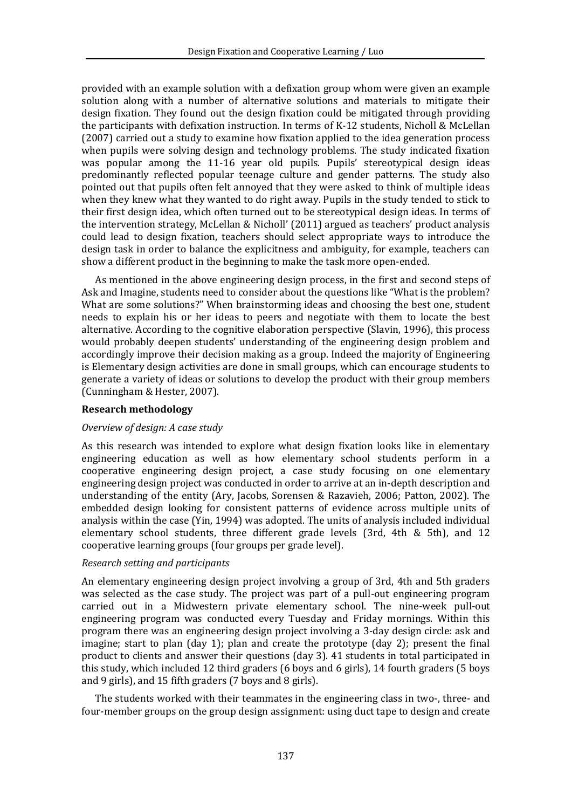provided with an example solution with a defixation group whom were given an example solution along with a number of alternative solutions and materials to mitigate their design fixation. They found out the design fixation could be mitigated through providing the participants with defixation instruction. In terms of K-12 students, Nicholl & McLellan (2007) carried out a study to examine how fixation applied to the idea generation process when pupils were solving design and technology problems. The study indicated fixation was popular among the 11-16 year old pupils. Pupils' stereotypical design ideas predominantly reflected popular teenage culture and gender patterns. The study also pointed out that pupils often felt annoyed that they were asked to think of multiple ideas when they knew what they wanted to do right away. Pupils in the study tended to stick to their first design idea, which often turned out to be stereotypical design ideas. In terms of the intervention strategy, McLellan & Nicholl' (2011) argued as teachers' product analysis could lead to design fixation, teachers should select appropriate ways to introduce the design task in order to balance the explicitness and ambiguity, for example, teachers can show a different product in the beginning to make the task more open-ended.

As mentioned in the above engineering design process, in the first and second steps of Ask and Imagine, students need to consider about the questions like "What is the problem? What are some solutions?" When brainstorming ideas and choosing the best one, student needs to explain his or her ideas to peers and negotiate with them to locate the best alternative. According to the cognitive elaboration perspective (Slavin, 1996), this process would probably deepen students' understanding of the engineering design problem and accordingly improve their decision making as a group. Indeed the majority of Engineering is Elementary design activities are done in small groups, which can encourage students to generate a variety of ideas or solutions to develop the product with their group members (Cunningham & Hester, 2007).

## **Research methodology**

# *Overview of design: A case study*

As this research was intended to explore what design fixation looks like in elementary engineering education as well as how elementary school students perform in a cooperative engineering design project, a case study focusing on one elementary engineering design project was conducted in order to arrive at an in-depth description and understanding of the entity (Ary, Jacobs, Sorensen & Razavieh, 2006; Patton, 2002). The embedded design looking for consistent patterns of evidence across multiple units of analysis within the case (Yin, 1994) was adopted. The units of analysis included individual elementary school students, three different grade levels (3rd, 4th & 5th), and 12 cooperative learning groups (four groups per grade level).

# *Research setting and participants*

An elementary engineering design project involving a group of 3rd, 4th and 5th graders was selected as the case study. The project was part of a pull-out engineering program carried out in a Midwestern private elementary school. The nine-week pull-out engineering program was conducted every Tuesday and Friday mornings. Within this program there was an engineering design project involving a 3-day design circle: ask and imagine; start to plan (day 1); plan and create the prototype (day 2); present the final product to clients and answer their questions (day 3). 41 students in total participated in this study, which included 12 third graders (6 boys and 6 girls), 14 fourth graders (5 boys and 9 girls), and 15 fifth graders (7 boys and 8 girls).

The students worked with their teammates in the engineering class in two-, three- and four-member groups on the group design assignment: using duct tape to design and create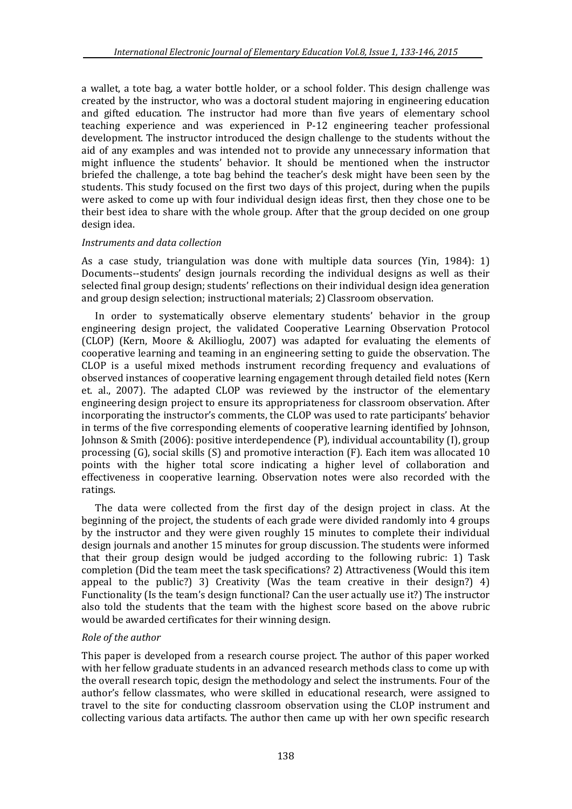a wallet, a tote bag, a water bottle holder, or a school folder. This design challenge was created by the instructor, who was a doctoral student majoring in engineering education and gifted education. The instructor had more than five years of elementary school teaching experience and was experienced in P-12 engineering teacher professional development. The instructor introduced the design challenge to the students without the aid of any examples and was intended not to provide any unnecessary information that might influence the students' behavior. It should be mentioned when the instructor briefed the challenge, a tote bag behind the teacher's desk might have been seen by the students. This study focused on the first two days of this project, during when the pupils were asked to come up with four individual design ideas first, then they chose one to be their best idea to share with the whole group. After that the group decided on one group design idea.

### *Instruments and data collection*

As a case study, triangulation was done with multiple data sources (Yin, 1984): 1) Documents--students' design journals recording the individual designs as well as their selected final group design; students' reflections on their individual design idea generation and group design selection; instructional materials; 2) Classroom observation.

In order to systematically observe elementary students' behavior in the group engineering design project, the validated Cooperative Learning Observation Protocol (CLOP) (Kern, Moore & Akillioglu, 2007) was adapted for evaluating the elements of cooperative learning and teaming in an engineering setting to guide the observation. The CLOP is a useful mixed methods instrument recording frequency and evaluations of observed instances of cooperative learning engagement through detailed field notes (Kern et. al., 2007). The adapted CLOP was reviewed by the instructor of the elementary engineering design project to ensure its appropriateness for classroom observation. After incorporating the instructor's comments, the CLOP was used to rate participants' behavior in terms of the five corresponding elements of cooperative learning identified by Johnson, Johnson & Smith (2006): positive interdependence (P), individual accountability (I), group processing (G), social skills (S) and promotive interaction (F). Each item was allocated 10 points with the higher total score indicating a higher level of collaboration and effectiveness in cooperative learning. Observation notes were also recorded with the ratings.

The data were collected from the first day of the design project in class. At the beginning of the project, the students of each grade were divided randomly into 4 groups by the instructor and they were given roughly 15 minutes to complete their individual design journals and another 15 minutes for group discussion. The students were informed that their group design would be judged according to the following rubric: 1) Task completion (Did the team meet the task specifications? 2) Attractiveness (Would this item appeal to the public?) 3) Creativity (Was the team creative in their design?) 4) Functionality (Is the team's design functional? Can the user actually use it?) The instructor also told the students that the team with the highest score based on the above rubric would be awarded certificates for their winning design.

#### *Role of the author*

This paper is developed from a research course project. The author of this paper worked with her fellow graduate students in an advanced research methods class to come up with the overall research topic, design the methodology and select the instruments. Four of the author's fellow classmates, who were skilled in educational research, were assigned to travel to the site for conducting classroom observation using the CLOP instrument and collecting various data artifacts. The author then came up with her own specific research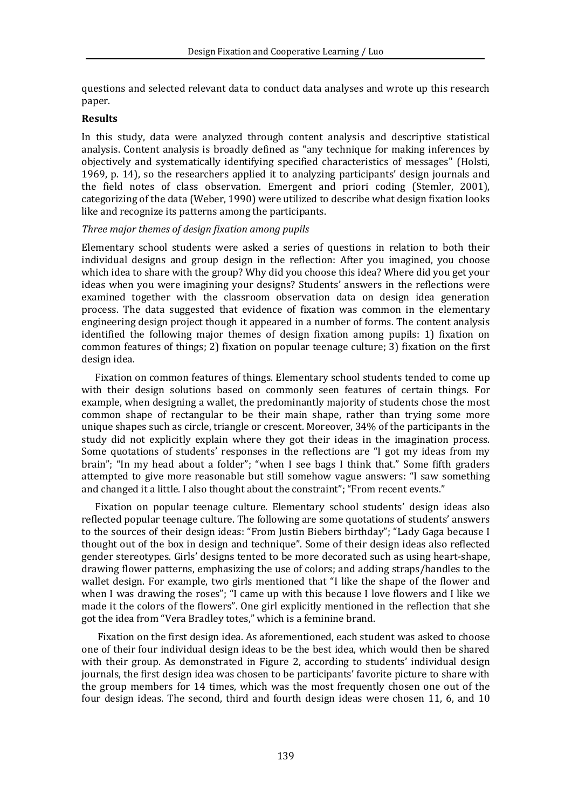questions and selected relevant data to conduct data analyses and wrote up this research paper.

#### **Results**

In this study, data were analyzed through content analysis and descriptive statistical analysis. Content analysis is broadly defined as "any technique for making inferences by objectively and systematically identifying specified characteristics of messages" (Holsti, 1969, p. 14), so the researchers applied it to analyzing participants' design journals and the field notes of class observation. Emergent and priori coding (Stemler, 2001), categorizing of the data (Weber, 1990) were utilized to describe what design fixation looks like and recognize its patterns among the participants.

### *Three major themes of design fixation among pupils*

Elementary school students were asked a series of questions in relation to both their individual designs and group design in the reflection: After you imagined, you choose which idea to share with the group? Why did you choose this idea? Where did you get your ideas when you were imagining your designs? Students' answers in the reflections were examined together with the classroom observation data on design idea generation process. The data suggested that evidence of fixation was common in the elementary engineering design project though it appeared in a number of forms. The content analysis identified the following major themes of design fixation among pupils: 1) fixation on common features of things; 2) fixation on popular teenage culture; 3) fixation on the first design idea.

Fixation on common features of things. Elementary school students tended to come up with their design solutions based on commonly seen features of certain things. For example, when designing a wallet, the predominantly majority of students chose the most common shape of rectangular to be their main shape, rather than trying some more unique shapes such as circle, triangle or crescent. Moreover, 34% of the participants in the study did not explicitly explain where they got their ideas in the imagination process. Some quotations of students' responses in the reflections are "I got my ideas from my brain"; "In my head about a folder"; "when I see bags I think that." Some fifth graders attempted to give more reasonable but still somehow vague answers: "I saw something and changed it a little. I also thought about the constraint"; "From recent events."

Fixation on popular teenage culture. Elementary school students' design ideas also reflected popular teenage culture. The following are some quotations of students' answers to the sources of their design ideas: "From Justin Biebers birthday"; "Lady Gaga because I thought out of the box in design and technique". Some of their design ideas also reflected gender stereotypes. Girls' designs tented to be more decorated such as using heart-shape, drawing flower patterns, emphasizing the use of colors; and adding straps/handles to the wallet design. For example, two girls mentioned that "I like the shape of the flower and when I was drawing the roses"; "I came up with this because I love flowers and I like we made it the colors of the flowers". One girl explicitly mentioned in the reflection that she got the idea from "Vera Bradley totes," which is a feminine brand.

Fixation on the first design idea. As aforementioned, each student was asked to choose one of their four individual design ideas to be the best idea, which would then be shared with their group. As demonstrated in Figure 2, according to students' individual design journals, the first design idea was chosen to be participants' favorite picture to share with the group members for 14 times, which was the most frequently chosen one out of the four design ideas. The second, third and fourth design ideas were chosen 11, 6, and 10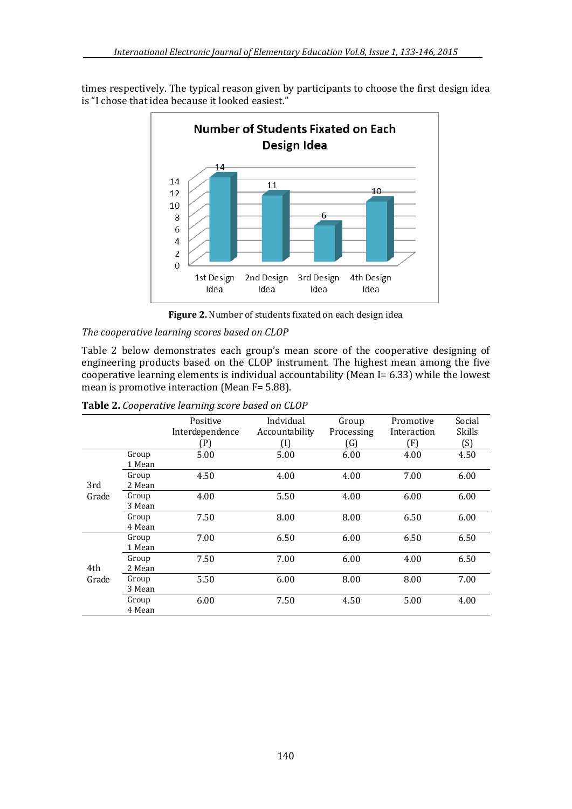times respectively. The typical reason given by participants to choose the first design idea is "I chose that idea because it looked easiest."



**Figure 2.** Number of students fixated on each design idea

# *The cooperative learning scores based on CLOP*

Table 2 below demonstrates each group's mean score of the cooperative designing of engineering products based on the CLOP instrument. The highest mean among the five cooperative learning elements is individual accountability (Mean I= 6.33) while the lowest mean is promotive interaction (Mean F= 5.88).

|              |        | ັ               |                |            |             |        |
|--------------|--------|-----------------|----------------|------------|-------------|--------|
|              |        | Positive        | Indvidual      | Group      | Promotive   | Social |
|              |        | Interdependence | Accountability | Processing | Interaction | Skills |
|              |        | P)              | T              | G)         | (F)         | (S)    |
|              | Group  | 5.00            | 5.00           | 6.00       | 4.00        | 4.50   |
|              | 1 Mean |                 |                |            |             |        |
|              | Group  | 4.50            | 4.00           | 4.00       | 7.00        | 6.00   |
| 3rd          | 2 Mean |                 |                |            |             |        |
| Grade        | Group  | 4.00            | 5.50           | 4.00       | 6.00        | 6.00   |
|              | 3 Mean |                 |                |            |             |        |
|              | Group  | 7.50            | 8.00           | 8.00       | 6.50        | 6.00   |
|              | 4 Mean |                 |                |            |             |        |
| 4th<br>Grade | Group  | 7.00            | 6.50           | 6.00       | 6.50        | 6.50   |
|              | 1 Mean |                 |                |            |             |        |
|              | Group  | 7.50            | 7.00           | 6.00       | 4.00        | 6.50   |
|              | 2 Mean |                 |                |            |             |        |
|              | Group  | 5.50            | 6.00           | 8.00       | 8.00        | 7.00   |
|              | 3 Mean |                 |                |            |             |        |
|              | Group  | 6.00            | 7.50           | 4.50       | 5.00        | 4.00   |
|              | 4 Mean |                 |                |            |             |        |

**Table 2.** *Cooperative learning score based on CLOP*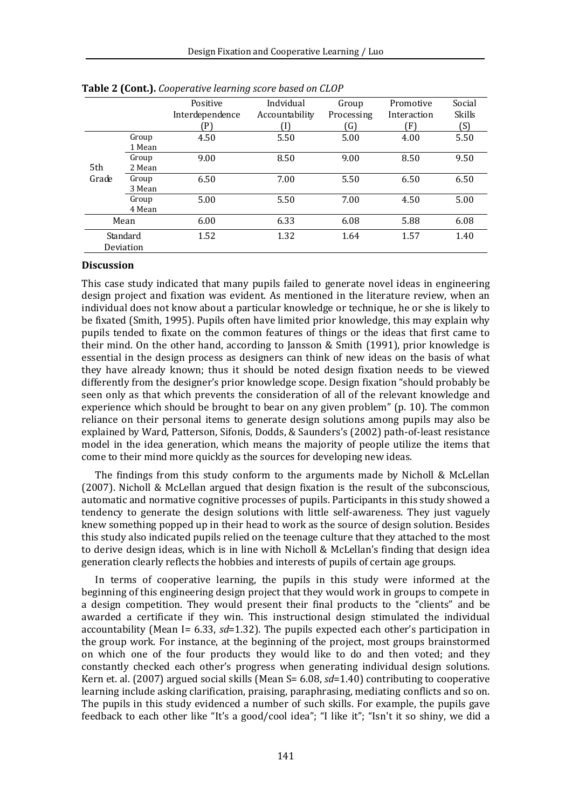|           |        | Positive        | Indvidual      | Group      | Promotive   | Social |
|-----------|--------|-----------------|----------------|------------|-------------|--------|
|           |        | Interdependence | Accountability | Processing | Interaction | Skills |
|           |        | (P              |                | G)         | Ŧ           | (S)    |
|           | Group  | 4.50            | 5.50           | 5.00       | 4.00        | 5.50   |
|           | 1 Mean |                 |                |            |             |        |
|           | Group  | 9.00            | 8.50           | 9.00       | 8.50        | 9.50   |
| 5th       | 2 Mean |                 |                |            |             |        |
| Grade     | Group  | 6.50            | 7.00           | 5.50       | 6.50        | 6.50   |
|           | 3 Mean |                 |                |            |             |        |
|           | Group  | 5.00            | 5.50           | 7.00       | 4.50        | 5.00   |
|           | 4 Mean |                 |                |            |             |        |
| Mean      |        | 6.00            | 6.33           | 6.08       | 5.88        | 6.08   |
| Standard  |        | 1.52            | 1.32           | 1.64       | 1.57        | 1.40   |
| Deviation |        |                 |                |            |             |        |

**Table 2 (Cont.).** *Cooperative learning score based on CLOP* 

#### **Discussion**

This case study indicated that many pupils failed to generate novel ideas in engineering design project and fixation was evident. As mentioned in the literature review, when an individual does not know about a particular knowledge or technique, he or she is likely to be fixated (Smith, 1995). Pupils often have limited prior knowledge, this may explain why pupils tended to fixate on the common features of things or the ideas that first came to their mind. On the other hand, according to Jansson & Smith (1991), prior knowledge is essential in the design process as designers can think of new ideas on the basis of what they have already known; thus it should be noted design fixation needs to be viewed differently from the designer's prior knowledge scope. Design fixation "should probably be seen only as that which prevents the consideration of all of the relevant knowledge and experience which should be brought to bear on any given problem" (p. 10). The common reliance on their personal items to generate design solutions among pupils may also be explained by Ward, Patterson, Sifonis, Dodds, & Saunders's (2002) path-of-least resistance model in the idea generation, which means the majority of people utilize the items that come to their mind more quickly as the sources for developing new ideas.

The findings from this study conform to the arguments made by Nicholl & McLellan (2007). Nicholl & McLellan argued that design fixation is the result of the subconscious, automatic and normative cognitive processes of pupils. Participants in this study showed a tendency to generate the design solutions with little self-awareness. They just vaguely knew something popped up in their head to work as the source of design solution. Besides this study also indicated pupils relied on the teenage culture that they attached to the most to derive design ideas, which is in line with Nicholl & McLellan's finding that design idea generation clearly reflects the hobbies and interests of pupils of certain age groups.

In terms of cooperative learning, the pupils in this study were informed at the beginning of this engineering design project that they would work in groups to compete in a design competition. They would present their final products to the "clients" and be awarded a certificate if they win. This instructional design stimulated the individual accountability (Mean I= 6.33, *sd*=1.32). The pupils expected each other's participation in the group work. For instance, at the beginning of the project, most groups brainstormed on which one of the four products they would like to do and then voted; and they constantly checked each other's progress when generating individual design solutions. Kern et. al. (2007) argued social skills (Mean S= 6.08, *sd*=1.40) contributing to cooperative learning include asking clarification, praising, paraphrasing, mediating conflicts and so on. The pupils in this study evidenced a number of such skills. For example, the pupils gave feedback to each other like "It's a good/cool idea"; "I like it"; "Isn't it so shiny, we did a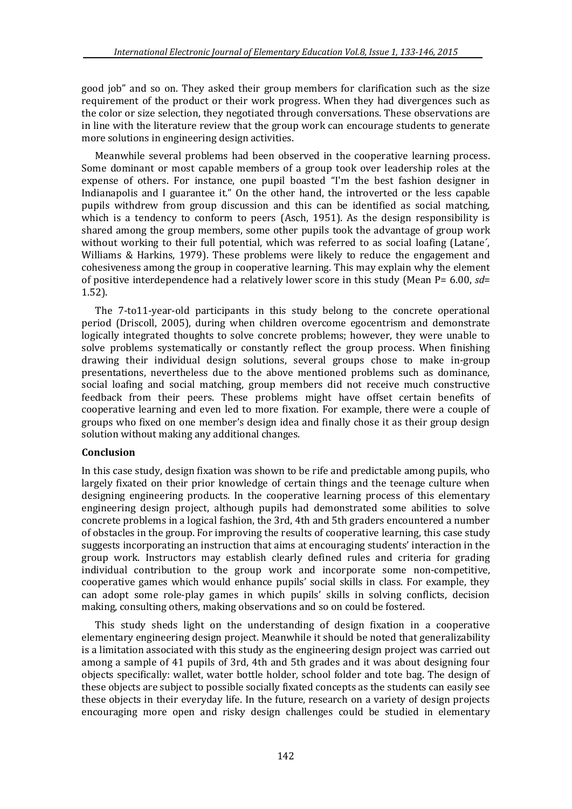good job" and so on. They asked their group members for clarification such as the size requirement of the product or their work progress. When they had divergences such as the color or size selection, they negotiated through conversations. These observations are in line with the literature review that the group work can encourage students to generate more solutions in engineering design activities.

Meanwhile several problems had been observed in the cooperative learning process. Some dominant or most capable members of a group took over leadership roles at the expense of others. For instance, one pupil boasted "I'm the best fashion designer in Indianapolis and I guarantee it." On the other hand, the introverted or the less capable pupils withdrew from group discussion and this can be identified as social matching, which is a tendency to conform to peers (Asch, 1951). As the design responsibility is shared among the group members, some other pupils took the advantage of group work without working to their full potential, which was referred to as social loafing (Latane´, Williams & Harkins, 1979). These problems were likely to reduce the engagement and cohesiveness among the group in cooperative learning. This may explain why the element of positive interdependence had a relatively lower score in this study (Mean P= 6.00, *sd*= 1.52).

The 7-to11-year-old participants in this study belong to the concrete operational period (Driscoll, 2005), during when children overcome egocentrism and demonstrate logically integrated thoughts to solve concrete problems; however, they were unable to solve problems systematically or constantly reflect the group process. When finishing drawing their individual design solutions, several groups chose to make in-group presentations, nevertheless due to the above mentioned problems such as dominance, social loafing and social matching, group members did not receive much constructive feedback from their peers. These problems might have offset certain benefits of cooperative learning and even led to more fixation. For example, there were a couple of groups who fixed on one member's design idea and finally chose it as their group design solution without making any additional changes.

# **Conclusion**

In this case study, design fixation was shown to be rife and predictable among pupils, who largely fixated on their prior knowledge of certain things and the teenage culture when designing engineering products. In the cooperative learning process of this elementary engineering design project, although pupils had demonstrated some abilities to solve concrete problems in a logical fashion, the 3rd, 4th and 5th graders encountered a number of obstacles in the group. For improving the results of cooperative learning, this case study suggests incorporating an instruction that aims at encouraging students' interaction in the group work. Instructors may establish clearly defined rules and criteria for grading individual contribution to the group work and incorporate some non-competitive, cooperative games which would enhance pupils' social skills in class. For example, they can adopt some role-play games in which pupils' skills in solving conflicts, decision making, consulting others, making observations and so on could be fostered.

This study sheds light on the understanding of design fixation in a cooperative elementary engineering design project. Meanwhile it should be noted that generalizability is a limitation associated with this study as the engineering design project was carried out among a sample of 41 pupils of 3rd, 4th and 5th grades and it was about designing four objects specifically: wallet, water bottle holder, school folder and tote bag. The design of these objects are subject to possible socially fixated concepts as the students can easily see these objects in their everyday life. In the future, research on a variety of design projects encouraging more open and risky design challenges could be studied in elementary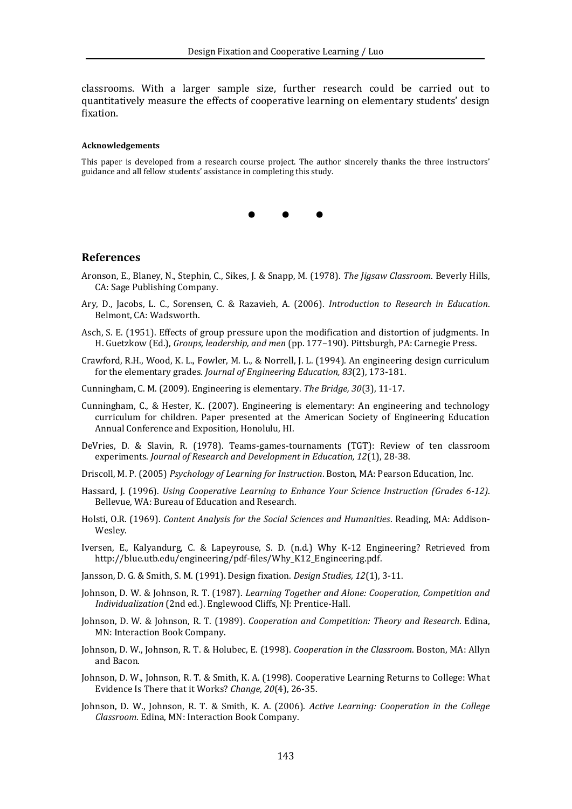classrooms. With a larger sample size, further research could be carried out to quantitatively measure the effects of cooperative learning on elementary students' design fixation.

#### **Acknowledgements**

This paper is developed from a research course project. The author sincerely thanks the three instructors' guidance and all fellow students' assistance in completing this study.



#### **References**

- Aronson, E., Blaney, N., Stephin, C., Sikes, J. & Snapp, M. (1978). *The Jigsaw Classroom*. Beverly Hills, CA: Sage Publishing Company.
- Ary, D., Jacobs, L. C., Sorensen, C. & Razavieh, A. (2006). *Introduction to Research in Education*. Belmont, CA: Wadsworth.
- Asch, S. E. (1951). Effects of group pressure upon the modification and distortion of judgments. In H. Guetzkow (Ed.), *Groups, leadership, and men* (pp. 177–190). Pittsburgh, PA: Carnegie Press.
- Crawford, R.H., Wood, K. L., Fowler, M. L., & Norrell, J. L. (1994). An engineering design curriculum for the elementary grades. *Journal of Engineering Education, 83*(2), 173-181.
- Cunningham, C. M. (2009). Engineering is elementary. *The Bridge, 30*(3), 11-17.
- Cunningham, C., & Hester, K.. (2007). Engineering is elementary: An engineering and technology curriculum for children. Paper presented at the American Society of Engineering Education Annual Conference and Exposition, Honolulu, HI.
- DeVries, D. & Slavin, R. (1978). Teams-games-tournaments (TGT): Review of ten classroom experiments. *Journal of Research and Development in Education, 12*(1), 28-38.
- Driscoll, M. P. (2005) *Psychology of Learning for Instruction*. Boston, MA: Pearson Education, Inc.
- Hassard, J. (1996). *Using Cooperative Learning to Enhance Your Science Instruction (Grades 6-12)*. Bellevue, WA: Bureau of Education and Research.
- Holsti, O.R. (1969). *Content Analysis for the Social Sciences and Humanities*. Reading, MA: Addison-Wesley.
- Iversen, E., Kalyandurg, C. & Lapeyrouse, S. D. (n.d.) Why K-12 Engineering? Retrieved from http://blue.utb.edu/engineering/pdf-files/Why\_K12\_Engineering.pdf.
- Jansson, D. G. & Smith, S. M. (1991). Design fixation. *Design Studies, 12*(1), 3-11.
- Johnson, D. W. & Johnson, R. T. (1987). *Learning Together and Alone: Cooperation, Competition and Individualization* (2nd ed.). Englewood Cliffs, NJ: Prentice-Hall.
- Johnson, D. W. & Johnson, R. T. (1989). *Cooperation and Competition: Theory and Research*. Edina, MN: Interaction Book Company.
- Johnson, D. W., Johnson, R. T. & Holubec, E. (1998). *Cooperation in the Classroom*. Boston, MA: Allyn and Bacon.
- Johnson, D. W., Johnson, R. T. & Smith, K. A. (1998). Cooperative Learning Returns to College: What Evidence Is There that it Works? *Change, 20*(4), 26-35.
- Johnson, D. W., Johnson, R. T. & Smith, K. A. (2006). *Active Learning: Cooperation in the College Classroom*. Edina, MN: Interaction Book Company.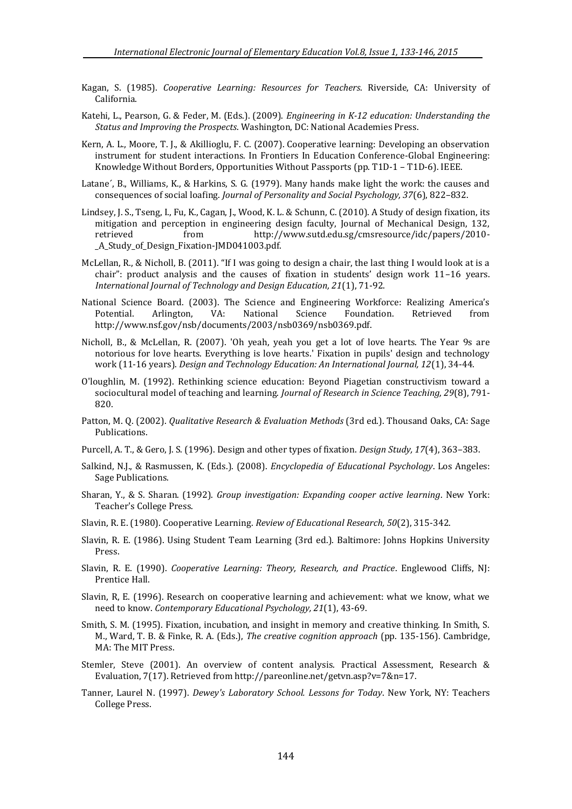- Kagan, S. (1985). *Cooperative Learning: Resources for Teachers*. Riverside, CA: University of California.
- Katehi, L., Pearson, G. & Feder, M. (Eds.). (2009). *Engineering in K-12 education: Understanding the Status and Improving the Prospects*. Washington, DC: National Academies Press.
- Kern, A. L., Moore, T. J., & Akillioglu, F. C. (2007). Cooperative learning: Developing an observation instrument for student interactions. In Frontiers In Education Conference-Global Engineering: Knowledge Without Borders, Opportunities Without Passports (pp. T1D-1 – T1D-6). IEEE.
- Latane´, B., Williams, K., & Harkins, S. G. (1979). Many hands make light the work: the causes and consequences of social loafing. *Journal of Personality and Social Psychology, 37*(6), 822–832.
- Lindsey, J. S., Tseng, I., Fu, K., Cagan, J., Wood, K. L. & Schunn, C. (2010). A Study of design fixation, its mitigation and perception in engineering design faculty, Journal of Mechanical Design, 132, retrieved from http://www.sutd.edu.sg/cmsresource/idc/papers/2010- \_A\_Study\_of\_Design\_Fixation-JMD041003.pdf.
- McLellan, R., & Nicholl, B. (2011). "If I was going to design a chair, the last thing I would look at is a chair": product analysis and the causes of fixation in students' design work 11–16 years. *International Journal of Technology and Design Education, 21*(1), 71-92.
- National Science Board. (2003). The Science and Engineering Workforce: Realizing America's Potential. Arlington, VA: National Science Foundation. Retrieved from http://www.nsf.gov/nsb/documents/2003/nsb0369/nsb0369.pdf.
- Nicholl, B., & McLellan, R. (2007). 'Oh yeah, yeah you get a lot of love hearts. The Year 9s are notorious for love hearts. Everything is love hearts.' Fixation in pupils' design and technology work (11-16 years). *Design and Technology Education: An International Journal, 12*(1), 34-44.
- O'loughlin, M. (1992). Rethinking science education: Beyond Piagetian constructivism toward a sociocultural model of teaching and learning. *Journal of Research in Science Teaching, 29*(8), 791- 820.
- Patton, M. Q. (2002). *Qualitative Research & Evaluation Methods* (3rd ed.). Thousand Oaks, CA: Sage Publications.
- Purcell, A. T., & Gero, J. S. (1996). Design and other types of fixation. *Design Study, 17*(4), 363–383.
- Salkind, N.J., & Rasmussen, K. (Eds.). (2008). *Encyclopedia of Educational Psychology*. Los Angeles: Sage Publications.
- Sharan, Y., & S. Sharan. (1992). *Group investigation: Expanding cooper active learning*. New York: Teacher's College Press.
- Slavin, R. E. (1980). Cooperative Learning. *Review of Educational Research, 50*(2), 315-342.
- Slavin, R. E. (1986). Using Student Team Learning (3rd ed.). Baltimore: Johns Hopkins University Press.
- Slavin, R. E. (1990). *Cooperative Learning: Theory, Research, and Practice*. Englewood Cliffs, NJ: Prentice Hall.
- Slavin, R, E. (1996). Research on cooperative learning and achievement: what we know, what we need to know. *Contemporary Educational Psychology, 21*(1), 43-69.
- Smith, S. M. (1995). Fixation, incubation, and insight in memory and creative thinking. In Smith, S. M., Ward, T. B. & Finke, R. A. (Eds.), *The creative cognition approach* (pp. 135-156). Cambridge, MA: The MIT Press.
- Stemler, Steve (2001). An overview of content analysis. Practical Assessment, Research & Evaluation, 7(17). Retrieved from http://pareonline.net/getvn.asp?v=7&n=17.
- Tanner, Laurel N. (1997). *Dewey's Laboratory School. Lessons for Today*. New York, NY: Teachers College Press.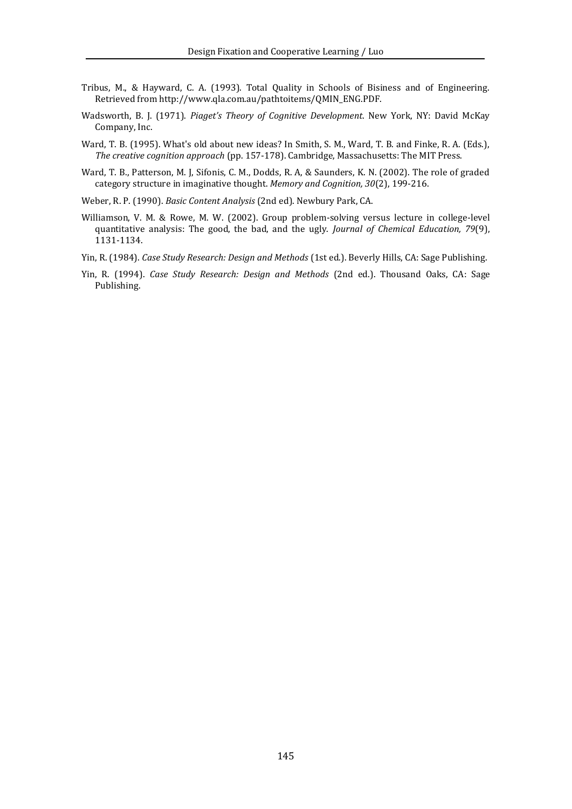- Tribus, M., & Hayward, C. A. (1993). Total Quality in Schools of Bisiness and of Engineering. Retrieved from http://www.qla.com.au/pathtoitems/QMIN\_ENG.PDF.
- Wadsworth, B. J. (1971). *Piaget's Theory of Cognitive Development*. New York, NY: David McKay Company, Inc.
- Ward, T. B. (1995). What's old about new ideas? In Smith, S. M., Ward, T. B. and Finke, R. A. (Eds.), *The creative cognition approach* (pp. 157-178). Cambridge, Massachusetts: The MIT Press.
- Ward, T. B., Patterson, M. J, Sifonis, C. M., Dodds, R. A, & Saunders, K. N. (2002). The role of graded category structure in imaginative thought. *Memory and Cognition, 30*(2), 199-216.
- Weber, R. P. (1990). *Basic Content Analysis* (2nd ed). Newbury Park, CA.
- Williamson, V. M. & Rowe, M. W. (2002). Group problem-solving versus lecture in college-level quantitative analysis: The good, the bad, and the ugly. *Journal of Chemical Education, 79*(9), 1131-1134.
- Yin, R. (1984). *Case Study Research: Design and Methods* (1st ed.). Beverly Hills, CA: Sage Publishing.
- Yin, R. (1994). *Case Study Research: Design and Methods* (2nd ed.). Thousand Oaks, CA: Sage Publishing.